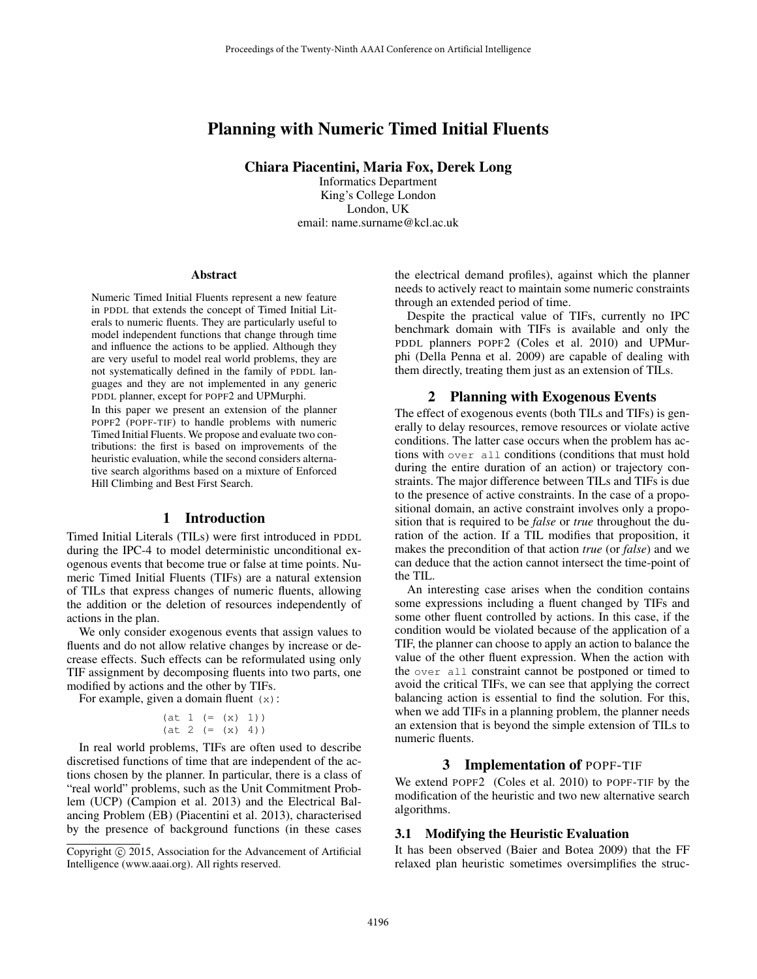# Planning with Numeric Timed Initial Fluents

Chiara Piacentini, Maria Fox, Derek Long

Informatics Department King's College London London, UK email: name.surname@kcl.ac.uk

#### Abstract

Numeric Timed Initial Fluents represent a new feature in PDDL that extends the concept of Timed Initial Literals to numeric fluents. They are particularly useful to model independent functions that change through time and influence the actions to be applied. Although they are very useful to model real world problems, they are not systematically defined in the family of PDDL languages and they are not implemented in any generic PDDL planner, except for POPF2 and UPMurphi.

In this paper we present an extension of the planner POPF2 (POPF-TIF) to handle problems with numeric Timed Initial Fluents. We propose and evaluate two contributions: the first is based on improvements of the heuristic evaluation, while the second considers alternative search algorithms based on a mixture of Enforced Hill Climbing and Best First Search.

## 1 Introduction

Timed Initial Literals (TILs) were first introduced in PDDL during the IPC-4 to model deterministic unconditional exogenous events that become true or false at time points. Numeric Timed Initial Fluents (TIFs) are a natural extension of TILs that express changes of numeric fluents, allowing the addition or the deletion of resources independently of actions in the plan.

We only consider exogenous events that assign values to fluents and do not allow relative changes by increase or decrease effects. Such effects can be reformulated using only TIF assignment by decomposing fluents into two parts, one modified by actions and the other by TIFs.

For example, given a domain fluent  $(x)$ :

```
(at 1 (= (x) 1))(at 2 (= (x) 4))
```
In real world problems, TIFs are often used to describe discretised functions of time that are independent of the actions chosen by the planner. In particular, there is a class of "real world" problems, such as the Unit Commitment Problem (UCP) (Campion et al. 2013) and the Electrical Balancing Problem (EB) (Piacentini et al. 2013), characterised by the presence of background functions (in these cases

the electrical demand profiles), against which the planner needs to actively react to maintain some numeric constraints through an extended period of time.

Despite the practical value of TIFs, currently no IPC benchmark domain with TIFs is available and only the PDDL planners POPF2 (Coles et al. 2010) and UPMurphi (Della Penna et al. 2009) are capable of dealing with them directly, treating them just as an extension of TILs.

#### 2 Planning with Exogenous Events

The effect of exogenous events (both TILs and TIFs) is generally to delay resources, remove resources or violate active conditions. The latter case occurs when the problem has actions with over all conditions (conditions that must hold during the entire duration of an action) or trajectory constraints. The major difference between TILs and TIFs is due to the presence of active constraints. In the case of a propositional domain, an active constraint involves only a proposition that is required to be *false* or *true* throughout the duration of the action. If a TIL modifies that proposition, it makes the precondition of that action *true* (or *false*) and we can deduce that the action cannot intersect the time-point of the TIL.

An interesting case arises when the condition contains some expressions including a fluent changed by TIFs and some other fluent controlled by actions. In this case, if the condition would be violated because of the application of a TIF, the planner can choose to apply an action to balance the value of the other fluent expression. When the action with the over all constraint cannot be postponed or timed to avoid the critical TIFs, we can see that applying the correct balancing action is essential to find the solution. For this, when we add TIFs in a planning problem, the planner needs an extension that is beyond the simple extension of TILs to numeric fluents.

#### 3 Implementation of POPF-TIF

We extend POPF2 (Coles et al. 2010) to POPF-TIF by the modification of the heuristic and two new alternative search algorithms.

#### 3.1 Modifying the Heuristic Evaluation

It has been observed (Baier and Botea 2009) that the FF relaxed plan heuristic sometimes oversimplifies the struc-

Copyright  $\odot$  2015, Association for the Advancement of Artificial Intelligence (www.aaai.org). All rights reserved.